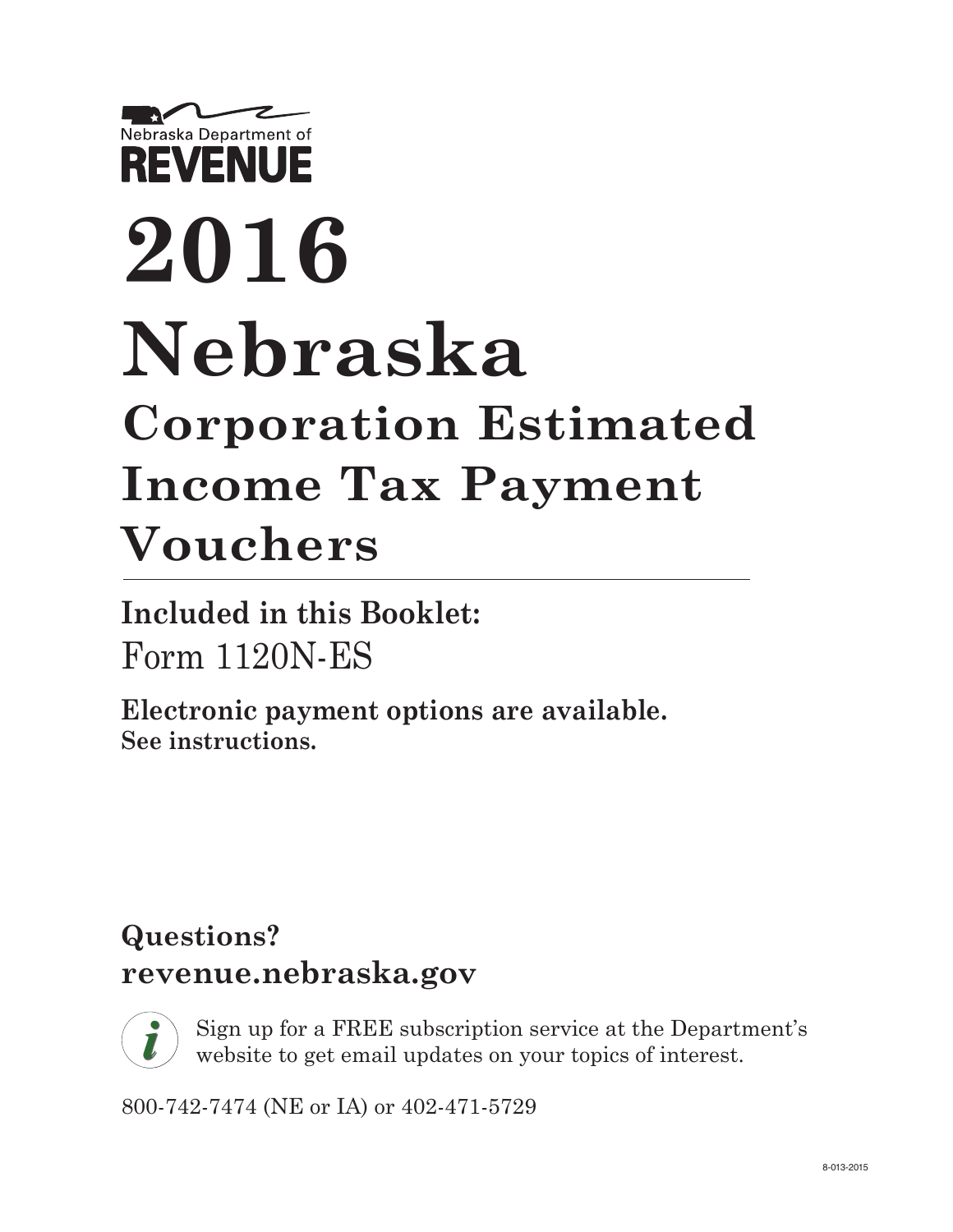# Nebraska Department of **REVENUE 2016 Nebraska Corporation Estimated Income Tax Payment Vouchers**

**Included in this Booklet:** Form 1120N-ES

**Electronic payment options are available. See instructions.**

## **Questions? [revenue.nebraska.gov](http://www.revenue.nebraska.gov/)**



Sign up for a FREE subscription service at the Department's website to get email updates on your topics of interest.

800-742-7474 (NE or IA) or 402-471-5729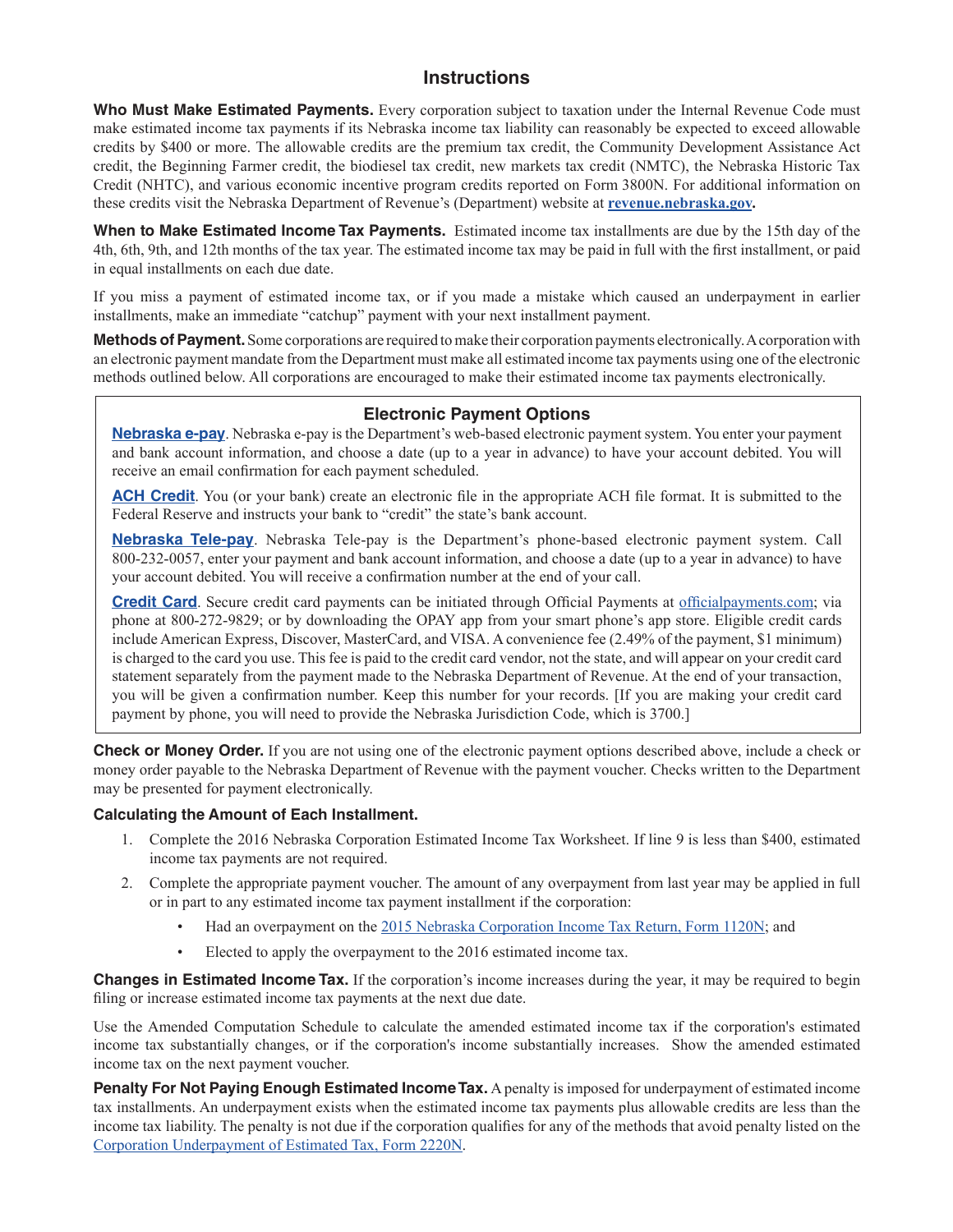#### **Instructions**

**Who Must Make Estimated Payments.** Every corporation subject to taxation under the Internal Revenue Code must make estimated income tax payments if its Nebraska income tax liability can reasonably be expected to exceed allowable credits by \$400 or more. The allowable credits are the premium tax credit, the Community Development Assistance Act credit, the Beginning Farmer credit, the biodiesel tax credit, new markets tax credit (NMTC), the Nebraska Historic Tax Credit (NHTC), and various economic incentive program credits reported on Form 3800N. For additional information on these credits visit the Nebraska Department of Revenue's (Department) website at **[revenue.nebraska.gov](http://www.revenue.nebraska.gov/).**

**When to Make Estimated Income Tax Payments.** Estimated income tax installments are due by the 15th day of the 4th, 6th, 9th, and 12th months of the tax year. The estimated income tax may be paid in full with the first installment, or paid in equal installments on each due date.

If you miss a payment of estimated income tax, or if you made a mistake which caused an underpayment in earlier installments, make an immediate "catchup" payment with your next installment payment.

**Methods of Payment.** Some corporations are required to make their corporation payments electronically. A corporation with an electronic payment mandate from the Department must make all estimated income tax payments using one of the electronic methods outlined below. All corporations are encouraged to make their estimated income tax payments electronically.

#### **Electronic Payment Options**

**[Nebraska e-pay](http://www.revenue.nebraska.gov/electron/bus_e-pay.html)**. Nebraska e-pay is the Department's web-based electronic payment system. You enter your payment and bank account information, and choose a date (up to a year in advance) to have your account debited. You will receive an email confirmation for each payment scheduled.

[ACH Credit](http://www.revenue.nebraska.gov/electron/ach_credit.html). You (or your bank) create an electronic file in the appropriate ACH file format. It is submitted to the Federal Reserve and instructs your bank to "credit" the state's bank account.

**[Nebraska Tele-pay](http://www.revenue.nebraska.gov/electron/Tele-pay_Instr.pdf)**. Nebraska Tele-pay is the Department's phone-based electronic payment system. Call 800-232-0057, enter your payment and bank account information, and choose a date (up to a year in advance) to have your account debited. You will receive a confirmation number at the end of your call.

**[Credit Card](http://www.revenue.nebraska.gov/electron/credit_card.html)**. Secure credit card payments can be initiated through Official Payments at [officialpayments.com](https://www.officialpayments.com/index.jsp); via phone at 800-272-9829; or by downloading the OPAY app from your smart phone's app store. Eligible credit cards include American Express, Discover, MasterCard, and VISA. A convenience fee (2.49% of the payment, \$1 minimum) is charged to the card you use. This fee is paid to the credit card vendor, not the state, and will appear on your credit card statement separately from the payment made to the Nebraska Department of Revenue. At the end of your transaction, you will be given a confirmation number. Keep this number for your records. [If you are making your credit card payment by phone, you will need to provide the Nebraska Jurisdiction Code, which is 3700.]

**Check or Money Order.** If you are not using one of the electronic payment options described above, include a check or money order payable to the Nebraska Department of Revenue with the payment voucher. Checks written to the Department may be presented for payment electronically.

#### **Calculating the Amount of Each Installment.**

- 1. Complete the 2016 Nebraska Corporation Estimated Income Tax Worksheet. If line 9 is less than \$400, estimated income tax payments are not required.
- 2. Complete the appropriate payment voucher. The amount of any overpayment from last year may be applied in full or in part to any estimated income tax payment installment if the corporation:
	- Had an overpayment on the [2015 Nebraska Corporation Income Tax Return, Form 1120N;](http://www.revenue.ne.gov/tax/15forms/f_1120n.pdf) and
	- Elected to apply the overpayment to the 2016 estimated income tax.

**Changes in Estimated Income Tax.** If the corporation's income increases during the year, it may be required to begin filing or increase estimated income tax payments at the next due date.

Use the Amended Computation Schedule to calculate the amended estimated income tax if the corporation's estimated income tax substantially changes, or if the corporation's income substantially increases. Show the amended estimated income tax on the next payment voucher.

**Penalty For Not Paying Enough Estimated Income Tax.** A penalty is imposed for underpayment of estimated income tax installments. An underpayment exists when the estimated income tax payments plus allowable credits are less than the income tax liability. The penalty is not due if the corporation qualifies for any of the methods that avoid penalty listed on the [Corporation Underpayment of Estimated Tax, Form 2220N.](http://www.revenue.ne.gov/tax/15forms/f_2220n.pdf)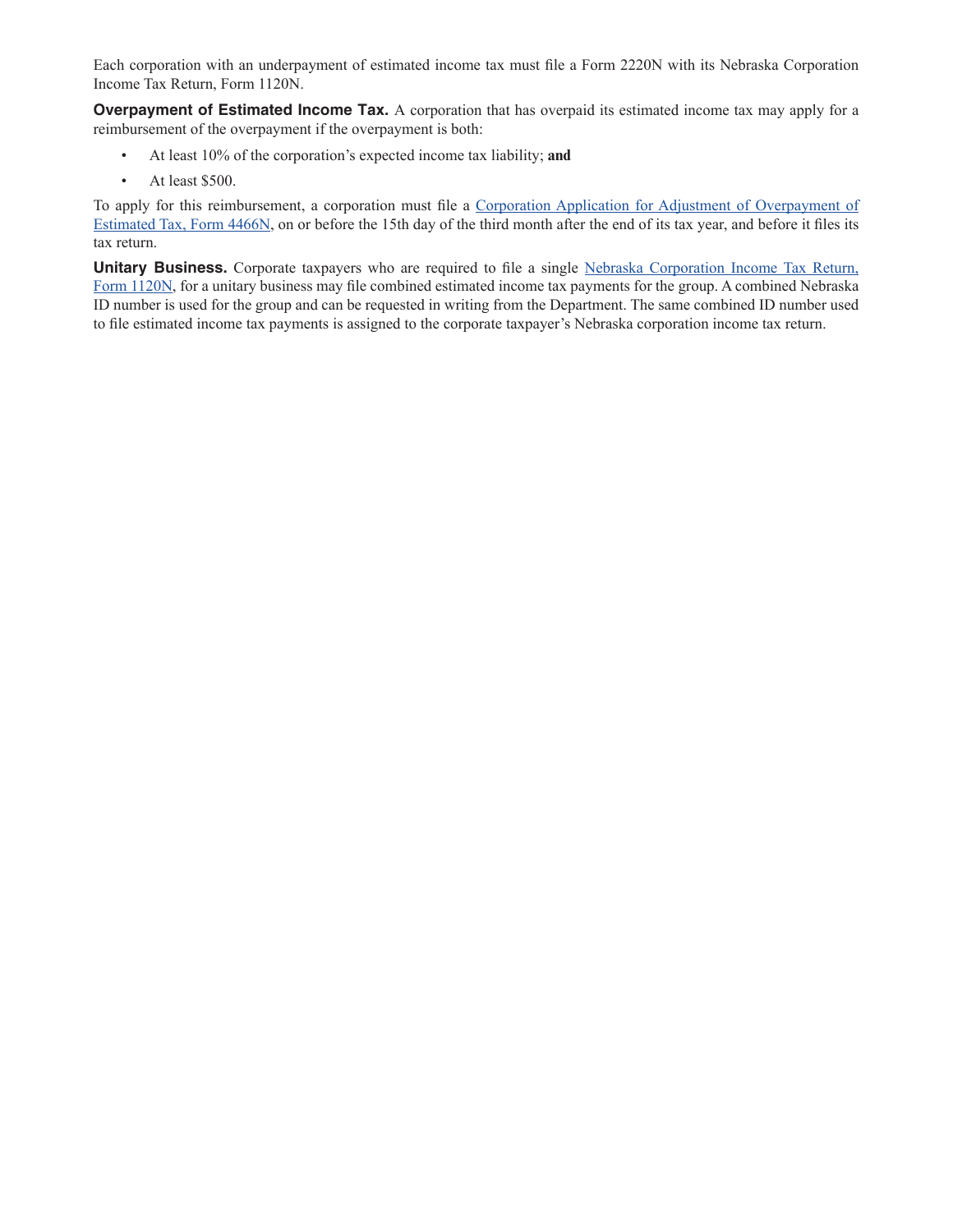Each corporation with an underpayment of estimated income tax must file a Form 2220N with its Nebraska Corporation Income Tax Return, Form 1120N.

**Overpayment of Estimated Income Tax.** A corporation that has overpaid its estimated income tax may apply for a reimbursement of the overpayment if the overpayment is both:

- At least 10% of the corporation's expected income tax liability; **and**
- At least \$500.

To apply for this reimbursement, a corporation must file a [Corporation Application for Adjustment of Overpayment of](http://www.revenue.ne.gov/tax/15forms/f_4466n.pdf)  [Estimated Tax, Form 4466N](http://www.revenue.ne.gov/tax/15forms/f_4466n.pdf), on or before the 15th day of the third month after the end of its tax year, and before it files its tax return.

**Unitary Business.** Corporate taxpayers who are required to file a single Nebraska Corporation Income Tax Return, Form [1120N](http://www.revenue.ne.gov/tax/15forms/f_1120n.pdf), for a unitary business may file combined estimated income tax payments for the group. A combined Nebraska ID number is used for the group and can be requested in writing from the Department. The same combined ID number used to file estimated income tax payments is assigned to the corporate taxpayer's Nebraska corporation income tax return.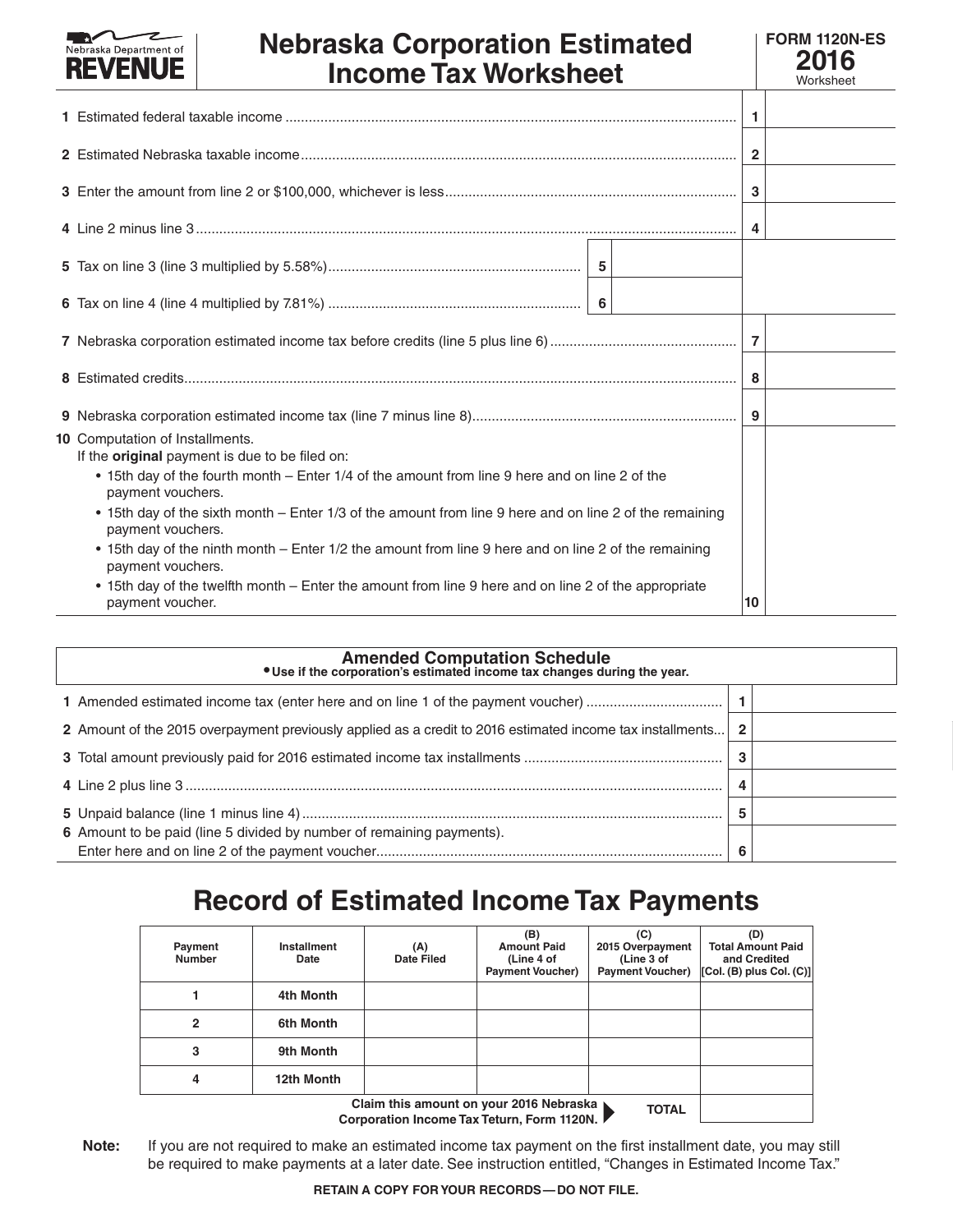| Nebraska Department of<br><b>Nebraska Corporation Estimated</b><br><b>REVENUE</b><br><b>Income Tax Worksheet</b> | <b>FORM 1120N-ES</b><br>2016<br>Worksheet |
|------------------------------------------------------------------------------------------------------------------|-------------------------------------------|
|                                                                                                                  |                                           |
|                                                                                                                  |                                           |
|                                                                                                                  |                                           |
|                                                                                                                  |                                           |
|                                                                                                                  |                                           |
|                                                                                                                  |                                           |
|                                                                                                                  |                                           |
|                                                                                                                  |                                           |

**9** Nebraska corporation estimated income tax (line 7 minus line 8).................................................................... **9**

#### **10** Computation of Installments.

- If the **original** payment is due to be filed on:
	- 15th day of the fourth month Enter 1/4 of the amount from line 9 here and on line 2 of the payment vouchers.
	- • 15th day of the sixth month Enter 1/3 of the amount from line 9 here and on line 2 of the remaining payment vouchers.
	- 15th day of the ninth month Enter 1/2 the amount from line 9 here and on line 2 of the remaining payment vouchers.
	- 15th day of the twelfth month Enter the amount from line 9 here and on line 2 of the appropriate payment voucher. **10**

| Amended Computation Schedule<br>• Use if the corporation's estimated income tax changes during the year.  |              |  |
|-----------------------------------------------------------------------------------------------------------|--------------|--|
| 1 Amended estimated income tax (enter here and on line 1 of the payment voucher)                          |              |  |
| 2 Amount of the 2015 overpayment previously applied as a credit to 2016 estimated income tax installments | $\mathbf{2}$ |  |
|                                                                                                           | 3            |  |
|                                                                                                           |              |  |
|                                                                                                           | 5            |  |
| 6 Amount to be paid (line 5 divided by number of remaining payments).                                     |              |  |
|                                                                                                           | 6            |  |

### **Record of Estimated Income Tax Payments**

| Payment<br><b>Number</b> | Installment<br>Date                                                                                                                                                                                                                                                                                                                                                          | (A)<br>Date Filed | (B)<br><b>Amount Paid</b><br>(Line 4 of<br><b>Payment Voucher)</b> | (C)<br>2015 Overpayment<br>(Line 3 of<br><b>Payment Voucher)</b> | (D)<br><b>Total Amount Paid</b><br>and Credited<br>[Col. (B) plus Col. (C)] |  |  |  |
|--------------------------|------------------------------------------------------------------------------------------------------------------------------------------------------------------------------------------------------------------------------------------------------------------------------------------------------------------------------------------------------------------------------|-------------------|--------------------------------------------------------------------|------------------------------------------------------------------|-----------------------------------------------------------------------------|--|--|--|
|                          | 4th Month                                                                                                                                                                                                                                                                                                                                                                    |                   |                                                                    |                                                                  |                                                                             |  |  |  |
| 2                        | 6th Month                                                                                                                                                                                                                                                                                                                                                                    |                   |                                                                    |                                                                  |                                                                             |  |  |  |
| 3                        | 9th Month                                                                                                                                                                                                                                                                                                                                                                    |                   |                                                                    |                                                                  |                                                                             |  |  |  |
| 4                        | 12th Month                                                                                                                                                                                                                                                                                                                                                                   |                   |                                                                    |                                                                  |                                                                             |  |  |  |
|                          | Claim this amount on your 2016 Nebraska ▶<br><b>TOTAL</b><br>$\bigcap$ . The second contract is a second fraction of $\bigcap_{n=1}^{\infty}$ and $\bigcap_{n=1}^{\infty}$ and $\bigcap_{n=1}^{\infty}$ and $\bigcap_{n=1}^{\infty}$ and $\bigcap_{n=1}^{\infty}$ and $\bigcap_{n=1}^{\infty}$ and $\bigcap_{n=1}^{\infty}$ and $\bigcap_{n=1}^{\infty}$ and $\bigcap_{n=1}$ |                   |                                                                    |                                                                  |                                                                             |  |  |  |

**Corporation Income Tax Teturn, Form 1120N.**

**Note:** If you are not required to make an estimated income tax payment on the first installment date, you may still be required to make payments at a later date. See instruction entitled, "Changes in Estimated Income Tax."

**RETAIN A COPY FOR YOUR RECORDS—DO NOT FILE.**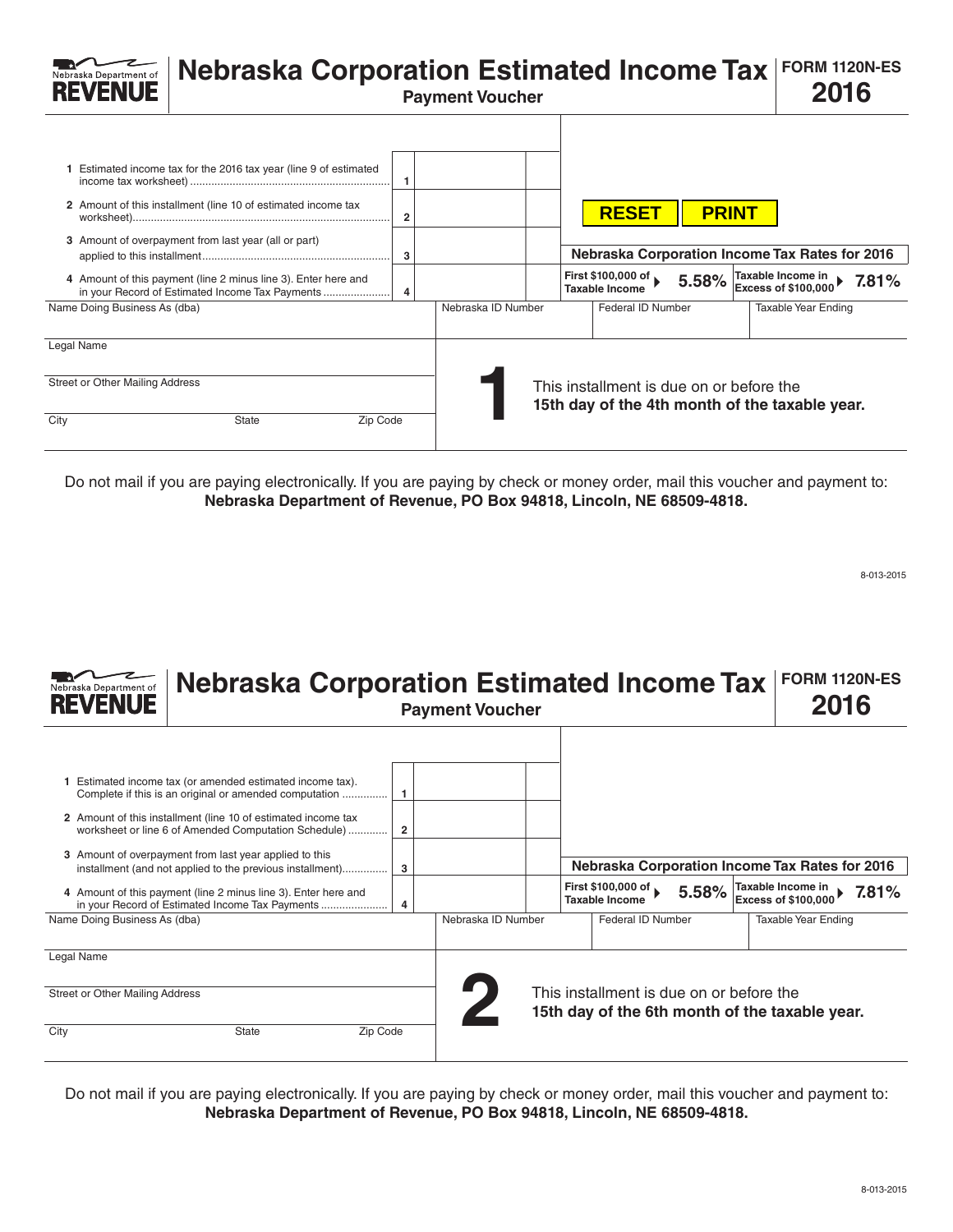| Nebraska Department of                                       | <b>Nebraska Corporation Estimated Income Tax</b>                                                                                                                                                                                                                                                                |                          | <b>Payment Voucher</b> |                                                             |              | <b>FORM 1120N-ES</b><br>2016                                                                                                       |       |
|--------------------------------------------------------------|-----------------------------------------------------------------------------------------------------------------------------------------------------------------------------------------------------------------------------------------------------------------------------------------------------------------|--------------------------|------------------------|-------------------------------------------------------------|--------------|------------------------------------------------------------------------------------------------------------------------------------|-------|
|                                                              | 1 Estimated income tax for the 2016 tax year (line 9 of estimated<br>2 Amount of this installment (line 10 of estimated income tax<br>3 Amount of overpayment from last year (all or part)<br>4 Amount of this payment (line 2 minus line 3). Enter here and<br>in your Record of Estimated Income Tax Payments | $\overline{2}$<br>3<br>4 |                        | <b>RESET</b><br>First \$100,000 of<br><b>Taxable Income</b> | <b>PRINT</b> | <b>Nebraska Corporation Income Tax Rates for 2016</b><br>5.58% $\sqrt{\frac{\text{Taxable Income in}}{\text{Excess of $100,000}}}$ | 7.81% |
| Name Doing Business As (dba)                                 |                                                                                                                                                                                                                                                                                                                 |                          | Nebraska ID Number     | Federal ID Number                                           |              | <b>Taxable Year Ending</b>                                                                                                         |       |
| Legal Name<br><b>Street or Other Mailing Address</b><br>City | <b>State</b><br>Zip Code                                                                                                                                                                                                                                                                                        |                          |                        | This installment is due on or before the                    |              | 15th day of the 4th month of the taxable year.                                                                                     |       |

Do not mail if you are paying electronically. If you are paying by check or money order, mail this voucher and payment to: **Nebraska Department of Revenue, PO Box 94818, Lincoln, NE 68509-4818.**

8-013-2015

| Nebraska Department of<br><b>REVENUE</b>                     | <b>Nebraska Corporation Estimated Income Tax</b><br><b>Payment Voucher</b>                                                                                                                                                                                                                                                                                                                                                                                                             |                                   |                    |  |                                                                                                                           |       |  | <b>FORM 1120N-ES</b><br>2016                                           |       |
|--------------------------------------------------------------|----------------------------------------------------------------------------------------------------------------------------------------------------------------------------------------------------------------------------------------------------------------------------------------------------------------------------------------------------------------------------------------------------------------------------------------------------------------------------------------|-----------------------------------|--------------------|--|---------------------------------------------------------------------------------------------------------------------------|-------|--|------------------------------------------------------------------------|-------|
| Name Doing Business As (dba)                                 | Estimated income tax (or amended estimated income tax).<br>Complete if this is an original or amended computation<br>2 Amount of this installment (line 10 of estimated income tax<br>worksheet or line 6 of Amended Computation Schedule)<br>3 Amount of overpayment from last year applied to this<br>installment (and not applied to the previous installment)<br>4 Amount of this payment (line 2 minus line 3). Enter here and<br>in your Record of Estimated Income Tax Payments | $\overline{\mathbf{2}}$<br>3<br>4 | Nebraska ID Number |  | <b>Nebraska Corporation Income Tax Rates for 2016</b><br>First \$100,000 of<br><b>Taxable Income</b><br>Federal ID Number | 5.58% |  | Taxable Income in<br><b>Excess of \$100,000</b><br>Taxable Year Ending | 7.81% |
| Legal Name<br><b>Street or Other Mailing Address</b><br>City | <b>State</b><br>Zip Code                                                                                                                                                                                                                                                                                                                                                                                                                                                               |                                   |                    |  | This installment is due on or before the<br>15th day of the 6th month of the taxable year.                                |       |  |                                                                        |       |

Do not mail if you are paying electronically. If you are paying by check or money order, mail this voucher and payment to: **Nebraska Department of Revenue, PO Box 94818, Lincoln, NE 68509-4818.**